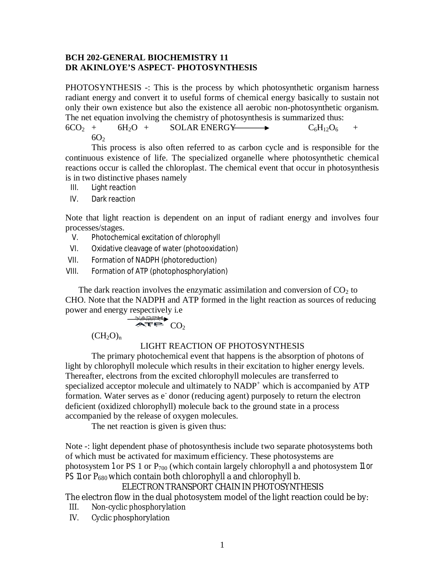#### **BCH 202-GENERAL BIOCHEMISTRY 11 DR AKINLOYE'S ASPECT- PHOTOSYNTHESIS**

PHOTOSYNTHESIS -: This is the process by which photosynthetic organism harness radiant energy and convert it to useful forms of chemical energy basically to sustain not only their own existence but also the existence all aerobic non-photosynthetic organism. The net equation involving the chemistry of photosynthesis is summarized thus:

 $6CO_2$  +  $6H_2O$  +  $5OLAR$  ENERGY  $\longrightarrow$   $C_6H_{12}O_6$  +  $6O<sub>2</sub>$ 

This process is also often referred to as carbon cycle and is responsible for the continuous existence of life. The specialized organelle where photosynthetic chemical reactions occur is called the chloroplast. The chemical event that occur in photosynthesis is in two distinctive phases namely

- III. Light reaction
- IV. Dark reaction

Note that light reaction is dependent on an input of radiant energy and involves four processes/stages.

- V. Photochemical excitation of chlorophyll
- VI. Oxidative cleavage of water (photooxidation)
- VII. Formation of NADPH (photoreduction)
- VIII. Formation of ATP (photophosphorylation)

The dark reaction involves the enzymatic assimilation and conversion of  $CO<sub>2</sub>$  to CHO. Note that the NADPH and ATP formed in the light reaction as sources of reducing power and energy respectively i.e

$$
\overbrace{\mathbf{A}\mathbf{F}}^{\mathbf{N} \mathbf{A} \mathbf{D} \mathbf{F} \mathbf{H}} \mathbf{C} \mathbf{O}_2
$$

 $(CH_2O)_n$ 

### LIGHT REACTION OF PHOTOSYNTHESIS

The primary photochemical event that happens is the absorption of photons of light by chlorophyll molecule which results in their excitation to higher energy levels. Thereafter, electrons from the excited chlorophyll molecules are transferred to specialized acceptor molecule and ultimately to  $NADP<sup>+</sup>$  which is accompanied by  $ATP$ formation. Water serves as e<sup>-</sup> donor (reducing agent) purposely to return the electron deficient (oxidized chlorophyll) molecule back to the ground state in a process accompanied by the release of oxygen molecules.

The net reaction is given is given thus:

Note -: light dependent phase of photosynthesis include two separate photosystems both of which must be activated for maximum efficiency. These photosystems are photosystem 1 or PS 1 or  $P_{700}$  (which contain largely chlorophyll a and photosystem 11 or PS 11 or  $P_{680}$  which contain both chlorophyll a and chlorophyll b.

### ELECTRON TRANSPORT CHAIN IN PHOTOSYNTHESIS

The electron flow in the dual photosystem model of the light reaction could be by:

- III. Non-cyclic phosphorylation
- IV. Cyclic phosphorylation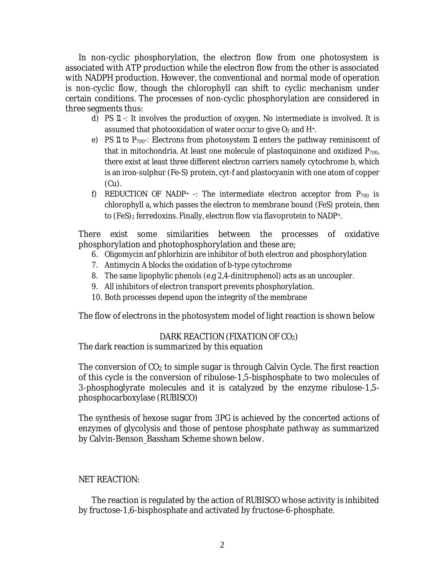In non-cyclic phosphorylation, the electron flow from one photosystem is associated with ATP production while the electron flow from the other is associated with NADPH production. However, the conventional and normal mode of operation is non-cyclic flow, though the chlorophyll can shift to cyclic mechanism under certain conditions. The processes of non-cyclic phosphorylation are considered in three segments thus:

- d) PS 11 -: It involves the production of oxygen. No intermediate is involved. It is assumed that photooxidation of water occur to give  $O_2$  and  $H<sup>+</sup>$ .
- e) PS 11 to P<sub>700</sub>-: Electrons from photosystem 11 enters the pathway reminiscent of that in mitochondria. At least one molecule of plastoquinone and oxidized  $P_{700}$ , there exist at least three different electron carriers namely cytochrome b, which is an iron-sulphur (Fe-S) protein, cyt-f and plastocyanin with one atom of copper (Cu).
- f) REDUCTION OF NADP+ -: The intermediate electron acceptor from  $P_{700}$  is chlorophyll a, which passes the electron to membrane bound (FeS) protein, then to (FeS)<sub>2</sub> ferredoxins. Finally, electron flow via flavoprotein to NADP+.

There exist some similarities between the processes of oxidative phosphorylation and photophosphorylation and these are;

- 6. Oligomycin anf phlorhizin are inhibitor of both electron and phosphorylation
- 7. Antimycin A blocks the oxidation of b-type cytochrome
- 8. The same lipophylic phenols (e.g 2,4-dinitrophenol) acts as an uncoupler.
- 9. All inhibitors of electron transport prevents phosphorylation.
- 10. Both processes depend upon the integrity of the membrane

The flow of electrons in the photosystem model of light reaction is shown below

# DARK REACTION (FIXATION OF CO2)

The dark reaction is summarized by this equation

The conversion of  $CO<sub>2</sub>$  to simple sugar is through Calvin Cycle. The first reaction of this cycle is the conversion of ribulose-1,5-bisphosphate to two molecules of 3-phosphoglyrate molecules and it is catalyzed by the enzyme ribulose-1,5 phosphocarboxylase (RUBISCO)

The synthesis of hexose sugar from 3PG is achieved by the concerted actions of enzymes of glycolysis and those of pentose phosphate pathway as summarized by Calvin-Benson\_Bassham Scheme shown below.

# NET REACTION:

The reaction is regulated by the action of RUBISCO whose activity is inhibited by fructose-1,6-bisphosphate and activated by fructose-6-phosphate.